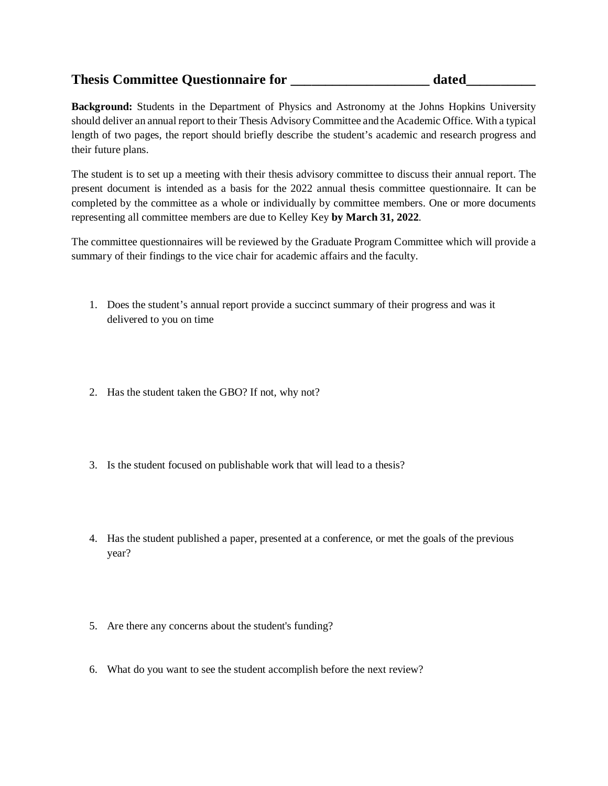## **Thesis Committee Questionnaire for \_\_\_\_\_\_\_\_\_\_\_\_\_\_\_\_\_\_\_\_ dated\_\_\_\_\_\_\_\_\_\_**

**Background:** Students in the Department of Physics and Astronomy at the Johns Hopkins University should deliver an annual report to their Thesis Advisory Committee and the Academic Office. With a typical length of two pages, the report should briefly describe the student's academic and research progress and their future plans.

The student is to set up a meeting with their thesis advisory committee to discuss their annual report. The present document is intended as a basis for the 2022 annual thesis committee questionnaire. It can be completed by the committee as a whole or individually by committee members. One or more documents representing all committee members are due to Kelley Key **by March 31, 2022**.

The committee questionnaires will be reviewed by the Graduate Program Committee which will provide a summary of their findings to the vice chair for academic affairs and the faculty.

- 1. Does the student's annual report provide a succinct summary of their progress and was it delivered to you on time
- 2. Has the student taken the GBO? If not, why not?
- 3. Is the student focused on publishable work that will lead to a thesis?
- 4. Has the student published a paper, presented at a conference, or met the goals of the previous year?
- 5. Are there any concerns about the student's funding?
- 6. What do you want to see the student accomplish before the next review?